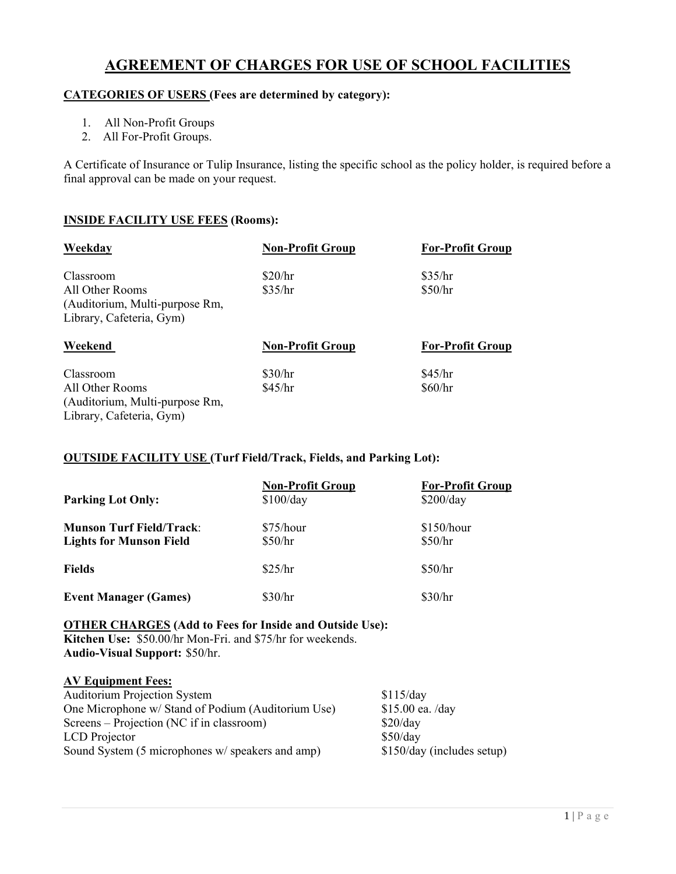# **AGREEMENT OF CHARGES FOR USE OF SCHOOL FACILITIES**

## **CATEGORIES OF USERS (Fees are determined by category):**

- 1. All Non-Profit Groups
- 2. All For-Profit Groups.

A Certificate of Insurance or Tulip Insurance, listing the specific school as the policy holder, is required before a final approval can be made on your request.

## **INSIDE FACILITY USE FEES (Rooms):**

| Weekday                        | <b>Non-Profit Group</b> | <b>For-Profit Group</b> |
|--------------------------------|-------------------------|-------------------------|
| Classroom                      | \$20/hr                 | \$35/hr                 |
| All Other Rooms                | \$35/hr                 | \$50/hr                 |
| (Auditorium, Multi-purpose Rm, |                         |                         |
| Library, Cafeteria, Gym)       |                         |                         |
|                                |                         |                         |
| Weekend                        | <b>Non-Profit Group</b> | <b>For-Profit Group</b> |
| Classroom                      | \$30/hr                 | \$45/hr                 |
| All Other Rooms                | \$45/hr                 | \$60/hr                 |
| (Auditorium, Multi-purpose Rm, |                         |                         |

# **OUTSIDE FACILITY USE (Turf Field/Track, Fields, and Parking Lot):**

| <b>Parking Lot Only:</b>                                          | <b>Non-Profit Group</b><br>\$100/day | <b>For-Profit Group</b><br>\$200/day |
|-------------------------------------------------------------------|--------------------------------------|--------------------------------------|
| <b>Munson Turf Field/Track:</b><br><b>Lights for Munson Field</b> | \$75/hour<br>\$50/hr                 | \$150/hour<br>\$50/hr                |
| Fields                                                            | \$25/hr                              | \$50/hr                              |
| <b>Event Manager (Games)</b>                                      | \$30/hr                              | \$30/hr                              |

#### **OTHER CHARGES (Add to Fees for Inside and Outside Use):**

**Kitchen Use:** \$50.00/hr Mon-Fri. and \$75/hr for weekends. **Audio-Visual Support:** \$50/hr.

#### **AV Equipment Fees:**

| <b>Auditorium Projection System</b>                | \$115/day                  |
|----------------------------------------------------|----------------------------|
| One Microphone w/ Stand of Podium (Auditorium Use) | $$15.00$ ea. /day          |
| Screens – Projection (NC if in classroom)          | \$20/day                   |
| LCD Projector                                      | \$50/day                   |
| Sound System (5 microphones w/ speakers and amp)   | \$150/day (includes setup) |